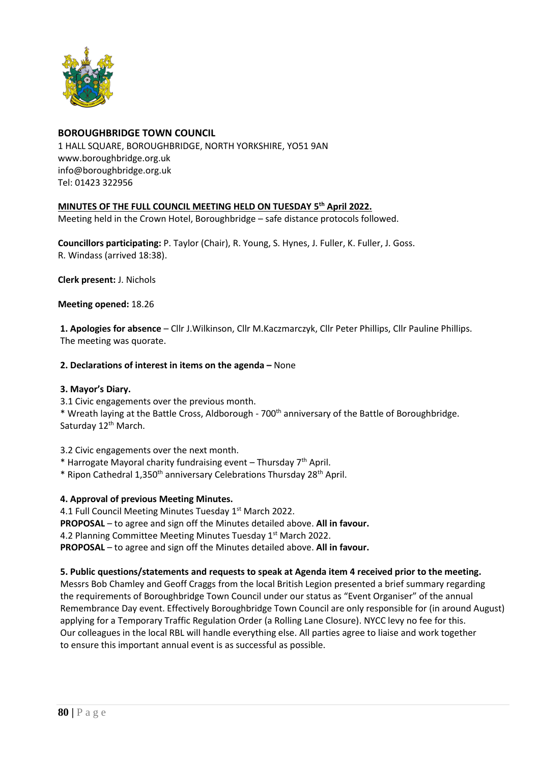

## **BOROUGHBRIDGE TOWN COUNCIL**

1 HALL SQUARE, BOROUGHBRIDGE, NORTH YORKSHIRE, YO51 9AN [www.boroughbridge.org.uk](http://www.boroughbridge.org.uk/) [info@boroughbridge.org.uk](mailto:info@boroughbridge.org.uk) Tel: 01423 322956

## **MINUTES OF THE FULL COUNCIL MEETING HELD ON TUESDAY 5 th April 2022.**

Meeting held in the Crown Hotel, Boroughbridge – safe distance protocols followed.

**Councillors participating:** P. Taylor (Chair), R. Young, S. Hynes, J. Fuller, K. Fuller, J. Goss. R. Windass (arrived 18:38).

**Clerk present:** J. Nichols

**Meeting opened:** 18.26

**1. Apologies for absence** – Cllr J.Wilkinson, Cllr M.Kaczmarczyk, Cllr Peter Phillips, Cllr Pauline Phillips. The meeting was quorate.

### **2. Declarations of interest in items on the agenda –** None

### **3. Mayor's Diary.**

3.1 Civic engagements over the previous month.

\* Wreath laying at the Battle Cross, Aldborough - 700<sup>th</sup> anniversary of the Battle of Boroughbridge. Saturday 12<sup>th</sup> March.

3.2 Civic engagements over the next month.

- \* Harrogate Mayoral charity fundraising event Thursday  $7<sup>th</sup>$  April.
- \* Ripon Cathedral 1,350th anniversary Celebrations Thursday 28th April.

## **4. Approval of previous Meeting Minutes.**

4.1 Full Council Meeting Minutes Tuesday 1<sup>st</sup> March 2022.

**PROPOSAL** – to agree and sign off the Minutes detailed above. **All in favour.**

4.2 Planning Committee Meeting Minutes Tuesday 1<sup>st</sup> March 2022.

**PROPOSAL** – to agree and sign off the Minutes detailed above. **All in favour.**

### **5. Public questions/statements and requests to speak at Agenda item 4 received prior to the meeting.**

Messrs Bob Chamley and Geoff Craggs from the local British Legion presented a brief summary regarding the requirements of Boroughbridge Town Council under our status as "Event Organiser" of the annual Remembrance Day event. Effectively Boroughbridge Town Council are only responsible for (in around August) applying for a Temporary Traffic Regulation Order (a Rolling Lane Closure). NYCC levy no fee for this. Our colleagues in the local RBL will handle everything else. All parties agree to liaise and work together to ensure this important annual event is as successful as possible.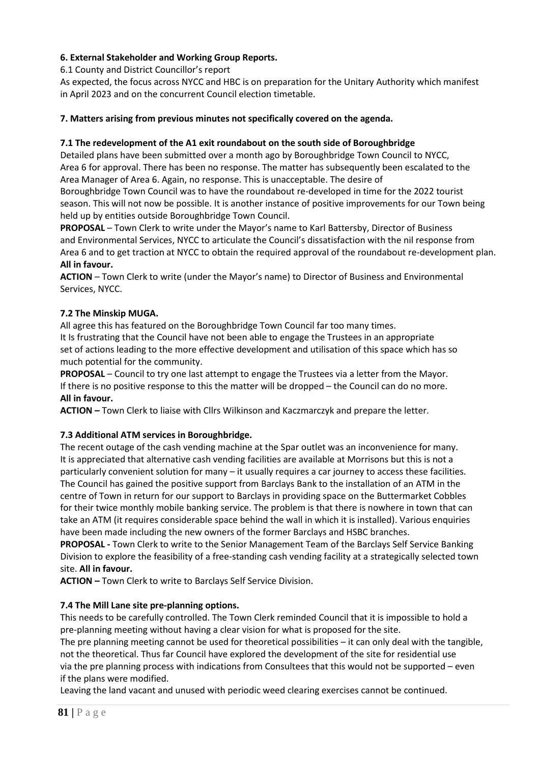# **6. External Stakeholder and Working Group Reports.**

6.1 County and District Councillor's report

As expected, the focus across NYCC and HBC is on preparation for the Unitary Authority which manifest in April 2023 and on the concurrent Council election timetable.

### **7. Matters arising from previous minutes not specifically covered on the agenda.**

### **7.1 The redevelopment of the A1 exit roundabout on the south side of Boroughbridge**

Detailed plans have been submitted over a month ago by Boroughbridge Town Council to NYCC, Area 6 for approval. There has been no response. The matter has subsequently been escalated to the Area Manager of Area 6. Again, no response. This is unacceptable. The desire of

Boroughbridge Town Council was to have the roundabout re-developed in time for the 2022 tourist season. This will not now be possible. It is another instance of positive improvements for our Town being held up by entities outside Boroughbridge Town Council.

**PROPOSAL** – Town Clerk to write under the Mayor's name to Karl Battersby, Director of Business and Environmental Services, NYCC to articulate the Council's dissatisfaction with the nil response from Area 6 and to get traction at NYCC to obtain the required approval of the roundabout re-development plan. **All in favour.**

**ACTION** – Town Clerk to write (under the Mayor's name) to Director of Business and Environmental Services, NYCC.

### **7.2 The Minskip MUGA.**

All agree this has featured on the Boroughbridge Town Council far too many times. It Is frustrating that the Council have not been able to engage the Trustees in an appropriate set of actions leading to the more effective development and utilisation of this space which has so much potential for the community.

**PROPOSAL** – Council to try one last attempt to engage the Trustees via a letter from the Mayor. If there is no positive response to this the matter will be dropped – the Council can do no more. **All in favour.**

**ACTION –** Town Clerk to liaise with Cllrs Wilkinson and Kaczmarczyk and prepare the letter.

## **7.3 Additional ATM services in Boroughbridge.**

The recent outage of the cash vending machine at the Spar outlet was an inconvenience for many. It is appreciated that alternative cash vending facilities are available at Morrisons but this is not a particularly convenient solution for many – it usually requires a car journey to access these facilities. The Council has gained the positive support from Barclays Bank to the installation of an ATM in the centre of Town in return for our support to Barclays in providing space on the Buttermarket Cobbles for their twice monthly mobile banking service. The problem is that there is nowhere in town that can take an ATM (it requires considerable space behind the wall in which it is installed). Various enquiries have been made including the new owners of the former Barclays and HSBC branches.

**PROPOSAL -** Town Clerk to write to the Senior Management Team of the Barclays Self Service Banking Division to explore the feasibility of a free-standing cash vending facility at a strategically selected town site. **All in favour.**

**ACTION –** Town Clerk to write to Barclays Self Service Division.

### **7.4 The Mill Lane site pre-planning options.**

This needs to be carefully controlled. The Town Clerk reminded Council that it is impossible to hold a pre-planning meeting without having a clear vision for what is proposed for the site.

The pre planning meeting cannot be used for theoretical possibilities – it can only deal with the tangible, not the theoretical. Thus far Council have explored the development of the site for residential use via the pre planning process with indications from Consultees that this would not be supported – even if the plans were modified.

Leaving the land vacant and unused with periodic weed clearing exercises cannot be continued.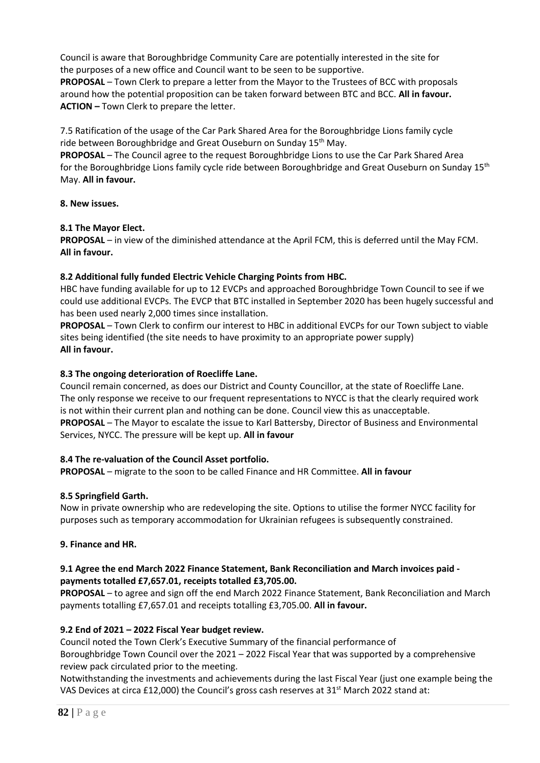Council is aware that Boroughbridge Community Care are potentially interested in the site for the purposes of a new office and Council want to be seen to be supportive.

**PROPOSAL** – Town Clerk to prepare a letter from the Mayor to the Trustees of BCC with proposals around how the potential proposition can be taken forward between BTC and BCC. **All in favour. ACTION –** Town Clerk to prepare the letter.

7.5 Ratification of the usage of the Car Park Shared Area for the Boroughbridge Lions family cycle ride between Boroughbridge and Great Ouseburn on Sunday 15<sup>th</sup> May.

**PROPOSAL** – The Council agree to the request Boroughbridge Lions to use the Car Park Shared Area for the Boroughbridge Lions family cycle ride between Boroughbridge and Great Ouseburn on Sunday 15<sup>th</sup> May. **All in favour.**

### **8. New issues.**

### **8.1 The Mayor Elect.**

**PROPOSAL** – in view of the diminished attendance at the April FCM, this is deferred until the May FCM. **All in favour.**

### **8.2 Additional fully funded Electric Vehicle Charging Points from HBC.**

HBC have funding available for up to 12 EVCPs and approached Boroughbridge Town Council to see if we could use additional EVCPs. The EVCP that BTC installed in September 2020 has been hugely successful and has been used nearly 2,000 times since installation.

**PROPOSAL** – Town Clerk to confirm our interest to HBC in additional EVCPs for our Town subject to viable sites being identified (the site needs to have proximity to an appropriate power supply) **All in favour.**

### **8.3 The ongoing deterioration of Roecliffe Lane.**

Council remain concerned, as does our District and County Councillor, at the state of Roecliffe Lane. The only response we receive to our frequent representations to NYCC is that the clearly required work is not within their current plan and nothing can be done. Council view this as unacceptable. **PROPOSAL** – The Mayor to escalate the issue to Karl Battersby, Director of Business and Environmental Services, NYCC. The pressure will be kept up. **All in favour**

### **8.4 The re-valuation of the Council Asset portfolio.**

**PROPOSAL** – migrate to the soon to be called Finance and HR Committee. **All in favour**

## **8.5 Springfield Garth.**

Now in private ownership who are redeveloping the site. Options to utilise the former NYCC facility for purposes such as temporary accommodation for Ukrainian refugees is subsequently constrained.

## **9. Finance and HR.**

## **9.1 Agree the end March 2022 Finance Statement, Bank Reconciliation and March invoices paid payments totalled £7,657.01, receipts totalled £3,705.00.**

**PROPOSAL** – to agree and sign off the end March 2022 Finance Statement, Bank Reconciliation and March payments totalling £7,657.01 and receipts totalling £3,705.00. **All in favour.**

## **9.2 End of 2021 – 2022 Fiscal Year budget review.**

Council noted the Town Clerk's Executive Summary of the financial performance of Boroughbridge Town Council over the 2021 – 2022 Fiscal Year that was supported by a comprehensive review pack circulated prior to the meeting.

Notwithstanding the investments and achievements during the last Fiscal Year (just one example being the VAS Devices at circa £12,000) the Council's gross cash reserves at  $31^{st}$  March 2022 stand at: